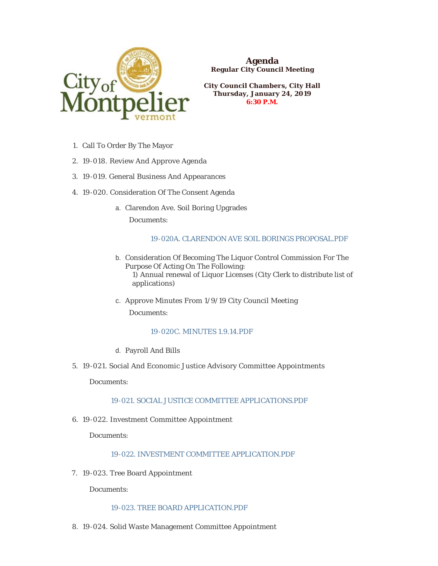

**Agenda Regular City Council Meeting**

**City Council Chambers, City Hall Thursday, January 24, 2019 6:30 P.M.**

- 1. Call To Order By The Mayor
- 19-018. Review And Approve Agenda 2.
- 19-019. General Business And Appearances 3.
- 4. 19-020. Consideration Of The Consent Agenda
	- Clarendon Ave. Soil Boring Upgrades a. Documents:

# [19-020A. CLARENDON AVE SOIL BORINGS PROPOSAL.PDF](https://www.montpelier-vt.org/AgendaCenter/ViewFile/Item/1216?fileID=8834)

- b. Consideration Of Becoming The Liquor Control Commission For The Purpose Of Acting On The Following: 1) Annual renewal of Liquor Licenses (City Clerk to distribute list of applications)
- c. Approve Minutes From 1/9/19 City Council Meeting Documents:

# [19-020C. MINUTES 1.9.14.PDF](https://www.montpelier-vt.org/AgendaCenter/ViewFile/Item/1234?fileID=8846)

- Payroll And Bills d.
- 19-021. Social And Economic Justice Advisory Committee Appointments 5.

Documents:

# [19-021. SOCIAL JUSTICE COMMITTEE APPLICATIONS.PDF](https://www.montpelier-vt.org/AgendaCenter/ViewFile/Item/1217?fileID=8835)

19-022. Investment Committee Appointment 6.

Documents:

# [19-022. INVESTMENT COMMITTEE APPLICATION.PDF](https://www.montpelier-vt.org/AgendaCenter/ViewFile/Item/1218?fileID=8836)

7. 19-023. Tree Board Appointment

Documents:

### [19-023. TREE BOARD APPLICATION.PDF](https://www.montpelier-vt.org/AgendaCenter/ViewFile/Item/1219?fileID=8847)

19-024. Solid Waste Management Committee Appointment 8.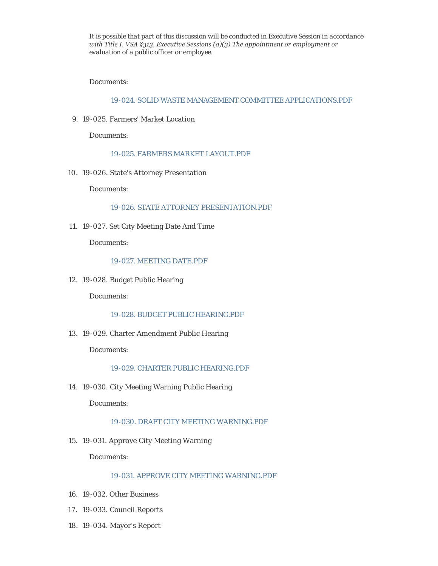*It is possible that part of this discussion will be conducted in Executive Session in accordance with Title I, VSA §313, Executive Sessions (a)(3) The appointment or employment or evaluation of a public officer or employee.*

Documents:

[19-024. SOLID WASTE MANAGEMENT COMMITTEE APPLICATIONS.PDF](https://www.montpelier-vt.org/AgendaCenter/ViewFile/Item/1220?fileID=8848)

19-025. Farmers' Market Location 9.

Documents:

### [19-025. FARMERS MARKET LAYOUT.PDF](https://www.montpelier-vt.org/AgendaCenter/ViewFile/Item/1221?fileID=8839)

19-026. State's Attorney Presentation 10.

Documents:

#### [19-026. STATE ATTORNEY PRESENTATION.PDF](https://www.montpelier-vt.org/AgendaCenter/ViewFile/Item/1222?fileID=8840)

19-027. Set City Meeting Date And Time 11.

Documents:

# [19-027. MEETING DATE.PDF](https://www.montpelier-vt.org/AgendaCenter/ViewFile/Item/1223?fileID=8841)

19-028. Budget Public Hearing 12.

Documents:

# [19-028. BUDGET PUBLIC HEARING.PDF](https://www.montpelier-vt.org/AgendaCenter/ViewFile/Item/1224?fileID=8842)

19-029. Charter Amendment Public Hearing 13.

Documents:

### [19-029. CHARTER PUBLIC HEARING.PDF](https://www.montpelier-vt.org/AgendaCenter/ViewFile/Item/1225?fileID=8843)

19-030. City Meeting Warning Public Hearing 14.

Documents:

### [19-030. DRAFT CITY MEETING WARNING.PDF](https://www.montpelier-vt.org/AgendaCenter/ViewFile/Item/1226?fileID=8844)

15. 19-031. Approve City Meeting Warning

Documents:

# [19-031. APPROVE CITY MEETING WARNING.PDF](https://www.montpelier-vt.org/AgendaCenter/ViewFile/Item/1227?fileID=8845)

- 19-032. Other Business 16.
- 19-033. Council Reports 17.
- 19-034. Mayor's Report 18.